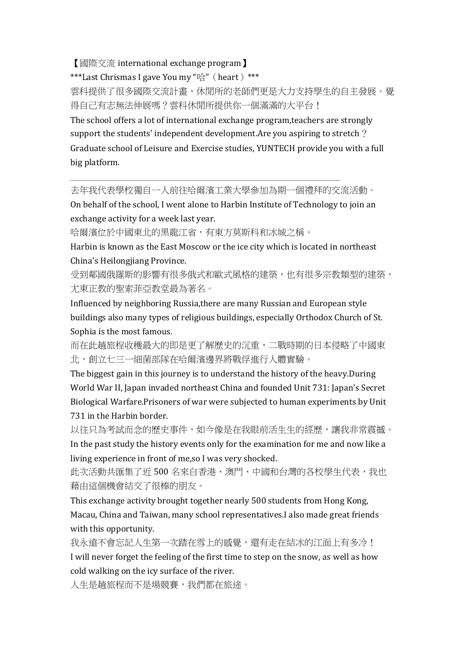## 【國際交流 international exchange program】

## \*\*\*Last Chrismas I gave You my "哈" (heart) \*\*\*

雲科提供了很多國際交流計畫,休閒所的老師們更是大力支持學生的自主發展。覺 得自己有志無法伸展嗎?雲科休閒所提供你一個滿滿的大平台!

The school offers a lot of international exchange program,teachers are strongly support the students' independent development.Are you aspiring to stretch? Graduate school of Leisure and Exercise studies, YUNTECH provide you with a full big platform.

去年我代表學校獨自一人前往哈爾濱工業大學參加為期一個禮拜的交流活動。

 $\mathcal{L}_\text{max}$  and  $\mathcal{L}_\text{max}$  and  $\mathcal{L}_\text{max}$  and  $\mathcal{L}_\text{max}$ 

On behalf of the school, I went alone to Harbin Institute of Technology to join an exchange activity for a week last year.

哈爾濱位於中國東北的黑龍江省,有東方莫斯科和冰城之稱。

Harbin is known as the East Moscow or the ice city which is located in northeast China's Heilongjiang Province.

受到鄰國俄羅斯的影響有很多俄式和歐式風格的建築,也有很多宗教類型的建築, 尤東正教的聖索菲亞教堂最為著名。

Influenced by neighboring Russia,there are many Russian and European style buildings also many types of religious buildings, especially Orthodox Church of St. Sophia is the most famous.

而在此趟旅程收穫最大的即是更了解歷史的沉重,二戰時期的日本侵略了中國東 北,創立七三一細菌部隊在哈爾濱邊界將戰俘進行人體實驗。

The biggest gain in this journey is to understand the history of the heavy.During World War II, Japan invaded northeast China and founded Unit 731: Japan's Secret Biological Warfare.Prisoners of war were subjected to human experiments by Unit 731 in the Harbin border.

以往只為考試而念的歷史事件,如今像是在我眼前活生生的經歷,讓我非常震撼。 In the past study the history events only for the examination for me and now like a living experience in front of me,so I was very shocked.

此次活動共匯集了近 500 名來自香港、澳門、中國和台灣的各校學生代表,我也 藉由這個機會結交了很棒的朋友。

This exchange activity brought together nearly 500 students from Hong Kong, Macau, China and Taiwan, many school representatives.I also made great friends with this opportunity.

我永遠不會忘記人生第一次踏在雪上的感覺,還有走在結冰的江面上有多冷! I will never forget the feeling of the first time to step on the snow, as well as how cold walking on the icy surface of the river.

人生是趟旅程而不是場競賽,我們都在旅途。